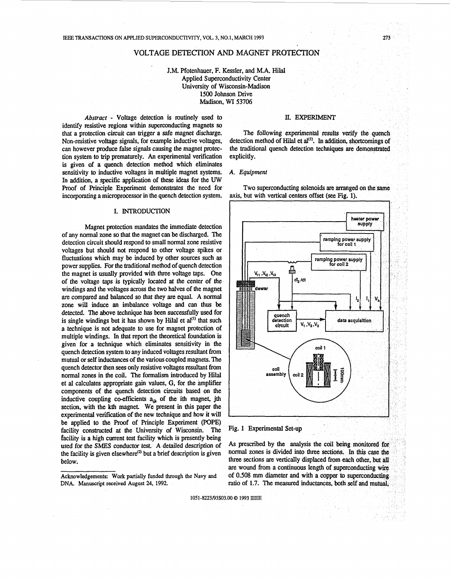# **VOLTAGE** DETECTION AND **MAGNET** PROTECTION

J.M. Pfotenhauer, F. Kessler, and M.A. Hilal Applied Superconductivity Center University of Wisconsin-Madison 1500 Johnson Drive Madison, **WI** 53706

Abstract - Voltage detection is routinely **used** to identify resistive regions within superconducting magnets *so*  that a protection circuit *can* trigger a safe magnet discharge. Non-resistive voltage signals, for example inductive voltages, can however produce false signals causing the magnet protection system to trip prematurely. *An* experimental verification is given of a quench detection method which eliminates sensitivity to inductive voltages in multiple magnet systems. In addition, a specific application of these ideas for the *UW*  Proof of Principle Experiment demonstrates the need for incorporating a microprocessor in the quench detection system.

# **I.** INTRODUCTION

Magnet protection mandates the immediate detection of any normal zone so that the magnet can be discharged. The detection circuit should respond to small normal zone resistive voltages but should not respond to other voltage **spikes** or fluctuations which may be induced by other **sources** such **as**  power supplies. For the traditional method of quench detection the magnet is usually provided with three voltage **taps.** One of the voltage taps is typically located *at* the center of the windings and the voltages across the two halves of the magnet **are** compared and balanced so that they **are** equal. A **normal**  zone will induce an imbalance voltage and can thus be detected. The above technique **has** been successfully used for is single windings but it has shown by Hilal et al<sup>(1)</sup> that such a technique is not adequate to **use** for magnet protection of multiple windings. In that report the theoretical foundation is given for **a** technique which eliminates sensitivity in the quench detection system to any induced voltages resultant from mutual or self inductances of the various coupled magnets. The quench detector then sees only resistive voltages resultant from normal zones in the coil. The formalism introduced by Hilal et al calculates appropriate gain values, G, for the amplifier components of the quench detection circuits based on the inductive coupling co-efficients  $a_{ijk}$  of the ith magnet, jth section, with the kth magnet. We present in **this** paper the experimental verification of the new technique and how it will be applied to the Proof of Principle Experiment **(POPE)**  facility constructed at the University of Wisconsin. The facility is **a** high current test facility which is presently being used for the *SMES* conductor **test.** A detailed description of the facility is given elsewhere<sup> $(2)$ </sup> but a brief description is given below.

**Acknowledgements: Work partially funded through the Navy and DNA. Manuscript received August 24, 1992.** 

#### **II. EXPERIMENT**

The following experimental results verify the quench detection method of Hilal et  $al<sup>(1)</sup>$ . In addition, shortcomings of the traditional quench detection techniques are demonstrated explicitly.

### *A. Equipment*

Two superconducting solenoids are arranged on the same axis, but with vertical centers offset (see Fig. 1).



### Fig. 1 Experimental Set-up

As prescribed by the analysis the coil being monitored for normal zones is divided into three sections. In this case the three sections **are** vertically di are wound from a continuous length of superconducting wire of 0.508 mm diameter and with a copper to superconducting ratio of 1.7. The measured inductances, both self and mutual,

**1051-8223/93\$03.00** *0* **1993** IEEE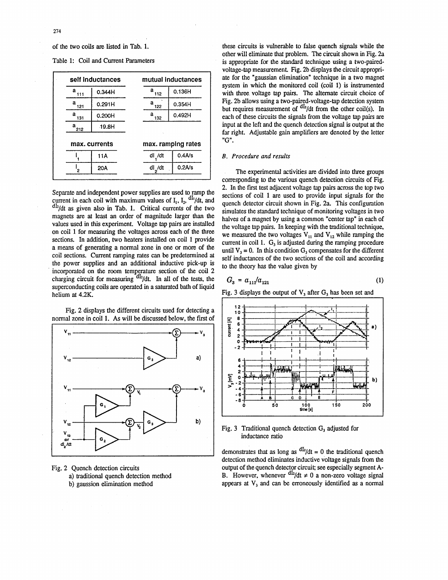of the two coils **are** listed in Tab. 1.

| Table 1: Coil and Current Parameters |  |  |  |  |
|--------------------------------------|--|--|--|--|
|--------------------------------------|--|--|--|--|

| self inductances |           | mutual inductances |                    |  |
|------------------|-----------|--------------------|--------------------|--|
| а<br>-111        | 0.344H    | а<br>112           | 0.136H             |  |
| a<br>121         | 0.291H    | a<br>122           | 0.354H             |  |
| а<br>131         | 0.200H    | а<br>132           | 0.492H             |  |
|                  | $-19.8H$  |                    |                    |  |
| max.currents     |           |                    | max. ramping rates |  |
|                  | 11A       | di /dt             | 0.4A/s             |  |
|                  | 20A       | dl /dt             | 0.2A/s             |  |
|                  | $a_{212}$ |                    |                    |  |

Separate and independent power supplies are used to ramp the current in each coil with maximum values of  $I_1$ ,  $I_2$ ,  $dI_1/dt$ , and d'2/dt **as** given also in Tab. 1. Critical currents of the two magnets are at least an order of magnitude larger than the values used in this experiment. Voltage tap pairs are installed on coil 1 for measuring the voltages across each of the three sections. In addition, two heaters installed on coil 1 provide a means of generating **a** normal zone in one or more of the coil sections. Current ramping rates can be predetermined at the power supplies and an additional inductive pick-up is incorporated on the room temperature section of the coil 2 charging circuit for measuring  $dl_2/dt$ . In all of the tests, the superconducting coils are operated in a saturated bath of liquid helium at 4.2K.

Fig. 2 displays the different circuits used for detecting a normal zone in coil **1.** *As* will be discussed below, the first of



Fig. 2 Quench detection circuits a) traditional quench detection method b) gaussion elimination method

these circuits is vulnerable to false quench signals while the other will eliminate that problem. The circuit shown in Fig. 2a is appropriate for the standard technique using **a** two-pairedvoltage-tap measurement. Fig. 2b displays the circuit appropriate for the "gaussian elimination" technique in a two magnet system in which the monitored coil **(coil** 1) is instrumented with three voltage tap pairs. The alternate circuit choice of Fig. 2b allows using a two-paired-voltage-tap detection system but requires measurement of  $dl_2/dt$  from the other coil(s). In each of these circuits the signals from the voltage tap pairs are input at the left and the quench detection signal is output at the far right. Adjustable gain amplifiers **are** denoted by the letter "G".

### *B. Procedure and results*

The experimental activities **are** divided into three groups corresponding *to* the various quench detection circuits of Fig. 2. In the first test adjacent voltage tap pairs across the top two sections of coil 1 are used to provide input signals for the quench detector circuit shown in Fig. 2a. This configuration simulates the standard technique of monitoring voltages in two halves of a magnet by using a common "center tap" in each of the voltage tap pairs. In keeping with the traditional technique, we measured the two voltages  $V_{11}$  and  $V_{12}$  while ramping the current in coil 1.  $G_3$  is adjusted during the ramping procedure until  $V_3 = 0$ . In this condition  $G_3$  compensates for the different self inductances of the two sections of the coil and according to the theory has the value given by

$$
G_3 = a_{111}/a_{121} \tag{1}
$$

Fig. **3** displays the output of **V,** after *G,* has been set and



Fig. 3 Traditional quench detection G<sub>3</sub> adjusted for inductance ratio

demonstrates that as long as  $\frac{dL}{dt} = 0$  the traditional quench detection method eliminates inductive voltage signals from the output of the quench detector circuit; see especially segment A-B. However, whenever  $\frac{dl_2}{dt} \neq 0$  a non-zero voltage signal appears at **V,** and can be erroneously identified **as** a normal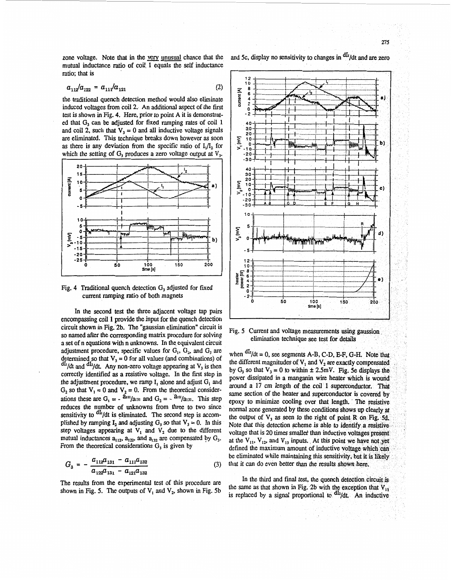zone voltage. Note **that** in the very **unusual** chance that the mutual inductance ratio of coil. 1 equals the **self** inductance ratio; that is

$$
a_{112}/a_{122} = a_{111}/a_{121} \tag{2}
$$

the traditional quench detection method would also eliminate induced voltages **from** coil 2. *An* additional aspect of the first test is shown in Fig. **4.** Here, prior to point A it **is** demonstrated that G<sub>3</sub> can be adjusted for fixed ramping rates of coil 1 and coil 2, such that  $V_3 = 0$  and all inductive voltage signals are eliminated. This technique breaks down however **as** soon as there is any deviation from the specific ratio of  $I_1/I_2$  for which the setting of  $G_3$  produces a zero voltage output at  $V_3$ .





In the second **test** the three adjacent voltage tap pairs encompassing coil **1** provide the input for the quench detection circuit shown in Fig. 2b. The "gaussian elimination" circuit **is**  so named after the corresponding matrix procedure for solving a set of **n** equations with **n** unknowns. In the equivalent circuit adjustment procedure, specific values for  $G_1$ ,  $G_2$ , and  $G_3$  are determined so that  $V_3 = 0$  for all values (and combinations) of  $\frac{du_1}{dt}$  and  $\frac{du_2}{dt}$ . Any non-zero voltage appearing at  $V_3$  is then correctly identified **as a** resistive voltage. In the first step in the adjustment procedure, we ramp I, alone and adjust *G,* and  $G_2$  so that  $V_1 = 0$  and  $V_2 = 0$ . From the theoretical considerations these are  $G_1 = -\frac{a_{11}}{a_{131}}$  and  $G_2 = -\frac{a_{12}}{a_{131}}$ . This step reduces the number of unknowns from three to two since sensitivity to  $\frac{dL}{dt}$  is eliminated. The second step is accomplished by ramping  $I_2$  and adjusting  $G_3$  so that  $V_3 = 0$ . In this step voltages appearing at  $V_1$  and  $V_2$  due to the different mutual inductances  $a_{112}$ ,  $a_{122}$ , and  $a_{132}$  are compensated by  $G_3$ . From the theoretical considerations  $G_3$  is given by

$$
G_3 = -\frac{a_{112}a_{131} - a_{111}a_{132}}{a_{122}a_{131} - a_{121}a_{132}}
$$
 (3)

The results from the experimental **test** of this procedure are shown in Fig. 5. The outputs of  $V_1$  and  $V_2$ , shown in Fig. 5b



and 5c, display no sensitivity to changes in <sup>dI</sup>/dt and are zero

Fig. 5 Current and voltage measurements using gaussion elimination technique see test for

when  $dI_2/dt = 0$ , see segments A-B, C-D, E-F, G-H. Note that the different magnitudes of  $V_1$  and  $V_2$  are exactly compensated by  $G_3$  so that  $V_3 = 0$  to within  $\pm 2.5$ mV. Fig. 5e displays the power dissipated in a manganin wire heater which is wound around a 17 cm length of the coil 1 superconductor. That same section of the heater and superconductor is covered by epoxy to minimize cooling over that length. The resistive normal zone generated by these conditions shows up clearly at the output of **V, as** seen to the Note that this detection scheme is able to identify a resistive voltage that is 20 times smaller than inductive voltages present at the  $V_{11}$ ,  $V_{12}$ , and  $V_{13}$  inputs. At this point we have not vet defined the maximum amount of inductive voltage which can be eliminated while maintaining this sensitivity, but it is likely that it can do even better **than** 

In the third and final test, the quench detection circuit is the same as that shown in Fig. 2b with the exception that  $V_{13}$  is replaced by a signal proportional to  $\frac{dL}{dt}$ . An inductive